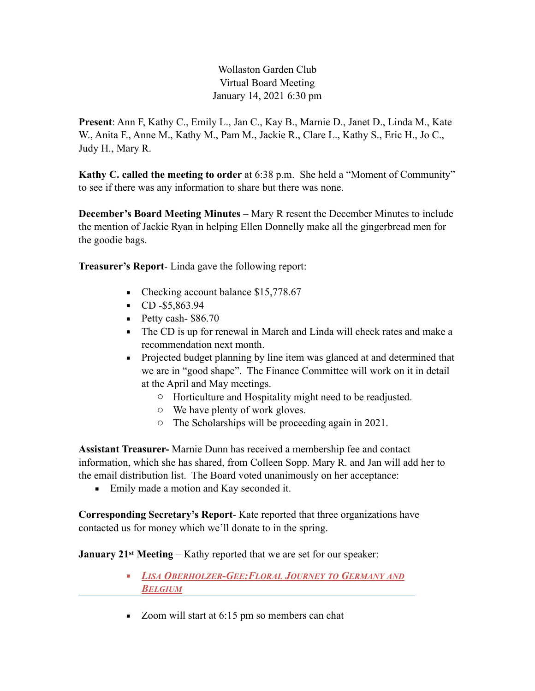## Wollaston Garden Club Virtual Board Meeting January 14, 2021 6:30 pm

**Present**: Ann F, Kathy C., Emily L., Jan C., Kay B., Marnie D., Janet D., Linda M., Kate W., Anita F., Anne M., Kathy M., Pam M., Jackie R., Clare L., Kathy S., Eric H., Jo C., Judy H., Mary R.

**Kathy C. called the meeting to order** at 6:38 p.m. She held a "Moment of Community" to see if there was any information to share but there was none.

**December's Board Meeting Minutes** – Mary R resent the December Minutes to include the mention of Jackie Ryan in helping Ellen Donnelly make all the gingerbread men for the goodie bags.

**Treasurer's Report**- Linda gave the following report:

- Checking account balance \$15,778.67
- CD -\$5,863.94
- $\blacksquare$  Petty cash- \$86.70
- The CD is up for renewal in March and Linda will check rates and make a recommendation next month.
- Projected budget planning by line item was glanced at and determined that we are in "good shape". The Finance Committee will work on it in detail at the April and May meetings.
	- o Horticulture and Hospitality might need to be readjusted.
	- o We have plenty of work gloves.
	- o The Scholarships will be proceeding again in 2021.

**Assistant Treasurer-** Marnie Dunn has received a membership fee and contact information, which she has shared, from Colleen Sopp. Mary R. and Jan will add her to the email distribution list. The Board voted unanimously on her acceptance:

■ Emily made a motion and Kay seconded it.

**Corresponding Secretary's Report**- Kate reported that three organizations have contacted us for money which we'll donate to in the spring.

**January 21st Meeting** – Kathy reported that we are set for our speaker:

- *LISA OBERHOLZER-GEE:FLORAL JOURNEY TO GERMANY AND BELGIUM*
- Zoom will start at 6:15 pm so members can chat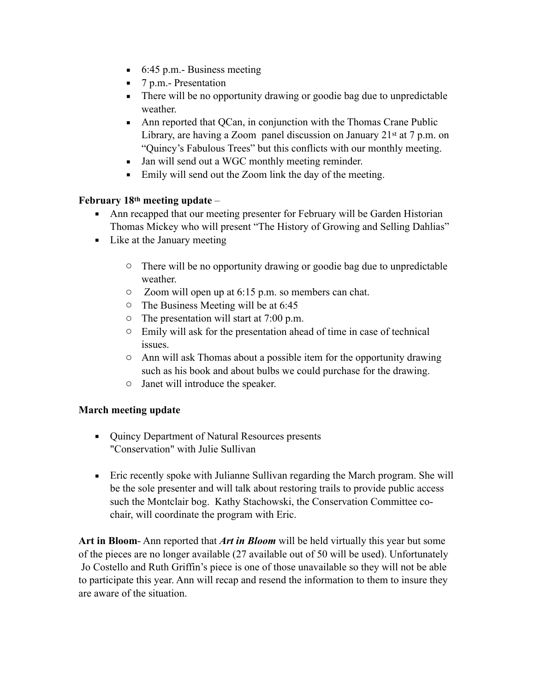- $\blacksquare$  6:45 p.m. Business meeting
- 7 p.m. Presentation
- There will be no opportunity drawing or goodie bag due to unpredictable weather.
- Ann reported that QCan, in conjunction with the Thomas Crane Public Library, are having a Zoom panel discussion on January  $21<sup>st</sup>$  at 7 p.m. on "Quincy's Fabulous Trees" but this conflicts with our monthly meeting.
- Jan will send out a WGC monthly meeting reminder.
- Emily will send out the Zoom link the day of the meeting.

## **February 18th meeting update** –

- Ann recapped that our meeting presenter for February will be Garden Historian Thomas Mickey who will present "The History of Growing and Selling Dahlias"
- **•** Like at the January meeting
	- o There will be no opportunity drawing or goodie bag due to unpredictable weather
	- o Zoom will open up at 6:15 p.m. so members can chat.
	- o The Business Meeting will be at 6:45
	- $\circ$  The presentation will start at 7:00 p.m.
	- o Emily will ask for the presentation ahead of time in case of technical issues.
	- o Ann will ask Thomas about a possible item for the opportunity drawing such as his book and about bulbs we could purchase for the drawing.
	- o Janet will introduce the speaker.

## **March meeting update**

- Quincy Department of Natural Resources presents "Conservation" with Julie Sullivan
- Eric recently spoke with Julianne Sullivan regarding the March program. She will be the sole presenter and will talk about restoring trails to provide public access such the Montclair bog. Kathy Stachowski, the Conservation Committee cochair, will coordinate the program with Eric.

**Art in Bloom**- Ann reported that *Art in Bloom* will be held virtually this year but some of the pieces are no longer available (27 available out of 50 will be used). Unfortunately Jo Costello and Ruth Griffin's piece is one of those unavailable so they will not be able to participate this year. Ann will recap and resend the information to them to insure they are aware of the situation.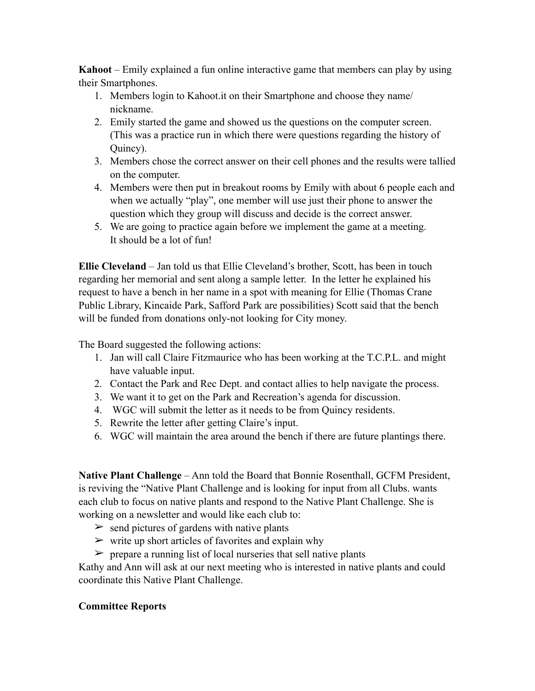**Kahoot** – Emily explained a fun online interactive game that members can play by using their Smartphones.

- 1. Members login to Kahoot.it on their Smartphone and choose they name/ nickname.
- 2. Emily started the game and showed us the questions on the computer screen. (This was a practice run in which there were questions regarding the history of Quincy).
- 3. Members chose the correct answer on their cell phones and the results were tallied on the computer.
- 4. Members were then put in breakout rooms by Emily with about 6 people each and when we actually "play", one member will use just their phone to answer the question which they group will discuss and decide is the correct answer.
- 5. We are going to practice again before we implement the game at a meeting. It should be a lot of fun!

**Ellie Cleveland** – Jan told us that Ellie Cleveland's brother, Scott, has been in touch regarding her memorial and sent along a sample letter. In the letter he explained his request to have a bench in her name in a spot with meaning for Ellie (Thomas Crane Public Library, Kincaide Park, Safford Park are possibilities) Scott said that the bench will be funded from donations only-not looking for City money.

The Board suggested the following actions:

- 1. Jan will call Claire Fitzmaurice who has been working at the T.C.P.L. and might have valuable input.
- 2. Contact the Park and Rec Dept. and contact allies to help navigate the process.
- 3. We want it to get on the Park and Recreation's agenda for discussion.
- 4. WGC will submit the letter as it needs to be from Quincy residents.
- 5. Rewrite the letter after getting Claire's input.
- 6. WGC will maintain the area around the bench if there are future plantings there.

**Native Plant Challenge** – Ann told the Board that Bonnie Rosenthall, GCFM President, is reviving the "Native Plant Challenge and is looking for input from all Clubs. wants each club to focus on native plants and respond to the Native Plant Challenge. She is working on a newsletter and would like each club to:

- $\geq$  send pictures of gardens with native plants
- $\triangleright$  write up short articles of favorites and explain why
- $\triangleright$  prepare a running list of local nurseries that sell native plants

Kathy and Ann will ask at our next meeting who is interested in native plants and could coordinate this Native Plant Challenge.

## **Committee Reports**